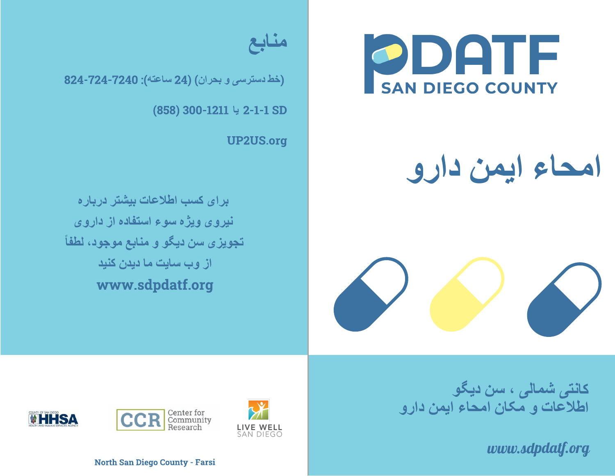

## **امحاء ایمن دارو**





(**خط دسترسی و بحران**) (24 **ساعتھ**): 824-724-7240

(858) 300-1211 2-1-1 SD **یا**

UP2US.org

**برای کسب اطلاعات بیشتر درباره نیروی ویژه سوء استفاده از داروی تجویزی سن دیگو و منابع موجود، لطفاً از وب سایت ما دیدن کنید** www.sdpdatf.org

> **کانتی شمالی ، سن دیگو اطلاعات <sup>و</sup> مکان امحاء ایمن دارو**

> > *www.sdpdatf.org*







North San Diego County - Farsi